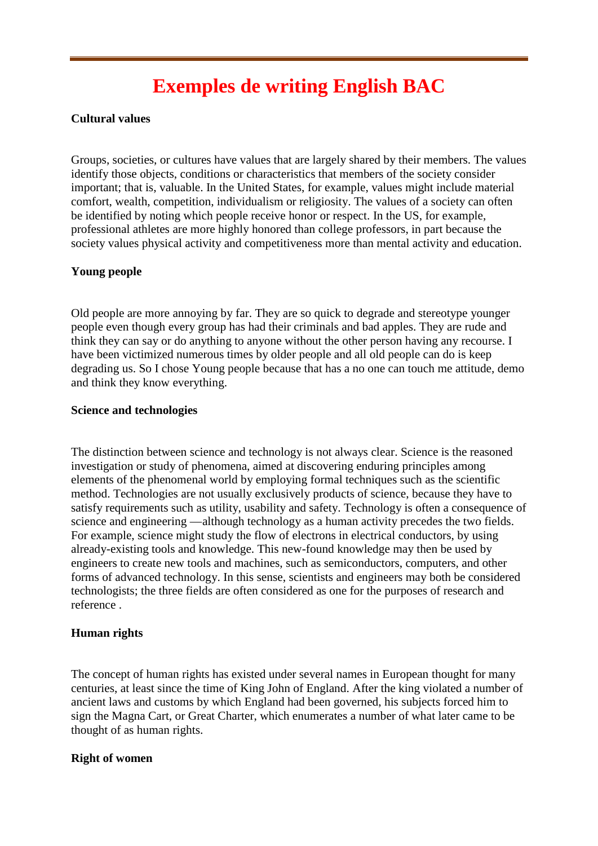# **Exemples de writing English BAC**

## **Cultural values**

Groups, societies, or cultures have values that are largely shared by their members. The values identify those objects, conditions or characteristics that members of the society consider important; that is, valuable. In the United States, for example, values might include material comfort, wealth, competition, individualism or religiosity. The values of a society can often be identified by noting which people receive honor or respect. In the US, for example, professional athletes are more highly honored than college professors, in part because the society values physical activity and competitiveness more than mental activity and education.

## **Young people**

Old people are more annoying by far. They are so quick to degrade and stereotype younger people even though every group has had their criminals and bad apples. They are rude and think they can say or do anything to anyone without the other person having any recourse. I have been victimized numerous times by older people and all old people can do is keep degrading us. So I chose Young people because that has a no one can touch me attitude, demo and think they know everything.

#### **Science and technologies**

The distinction between science and technology is not always clear. Science is the reasoned investigation or study of phenomena, aimed at discovering enduring principles among elements of the phenomenal world by employing formal techniques such as the scientific method. Technologies are not usually exclusively products of science, because they have to satisfy requirements such as utility, usability and safety. Technology is often a consequence of science and engineering —although technology as a human activity precedes the two fields. For example, science might study the flow of electrons in electrical conductors, by using already-existing tools and knowledge. This new-found knowledge may then be used by engineers to create new tools and machines, such as semiconductors, computers, and other forms of advanced technology. In this sense, scientists and engineers may both be considered technologists; the three fields are often considered as one for the purposes of research and reference .

## **Human rights**

The concept of human rights has existed under several names in European thought for many centuries, at least since the time of King John of England. After the king violated a number of ancient laws and customs by which England had been governed, his subjects forced him to sign the Magna Cart, or Great Charter, which enumerates a number of what later came to be thought of as human rights.

## **Right of women**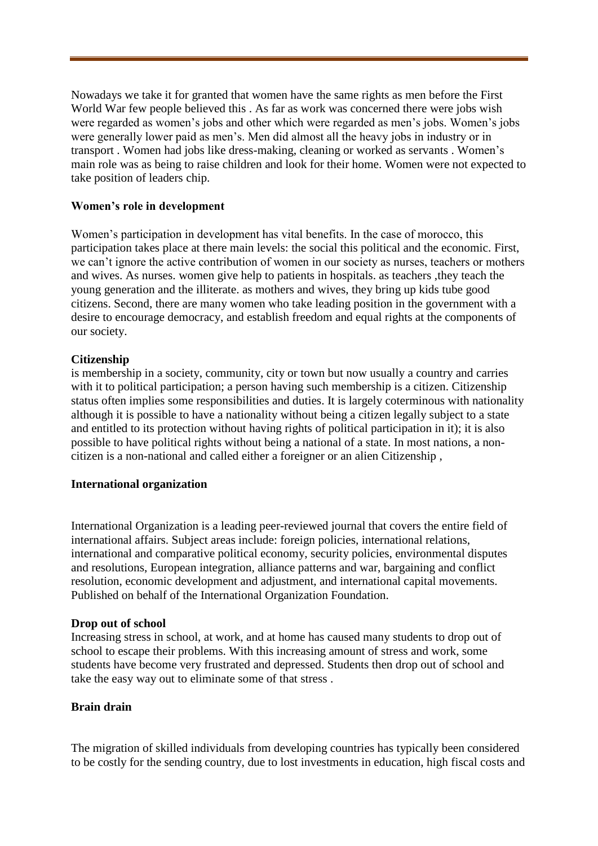Nowadays we take it for granted that women have the same rights as men before the First World War few people believed this . As far as work was concerned there were jobs wish were regarded as women's jobs and other which were regarded as men's jobs. Women's jobs were generally lower paid as men's. Men did almost all the heavy jobs in industry or in transport . Women had jobs like dress-making, cleaning or worked as servants . Women's main role was as being to raise children and look for their home. Women were not expected to take position of leaders chip.

## **Women's role in development**

Women's participation in development has vital benefits. In the case of morocco, this participation takes place at there main levels: the social this political and the economic. First, we can't ignore the active contribution of women in our society as nurses, teachers or mothers and wives. As nurses. women give help to patients in hospitals. as teachers ,they teach the young generation and the illiterate. as mothers and wives, they bring up kids tube good citizens. Second, there are many women who take leading position in the government with a desire to encourage democracy, and establish freedom and equal rights at the components of our society.

## **Citizenship**

is membership in a society, community, city or town but now usually a country and carries with it to political participation; a person having such membership is a citizen. Citizenship status often implies some responsibilities and duties. It is largely coterminous with nationality although it is possible to have a nationality without being a citizen legally subject to a state and entitled to its protection without having rights of political participation in it); it is also possible to have political rights without being a national of a state. In most nations, a noncitizen is a non-national and called either a foreigner or an alien Citizenship ,

## **International organization**

International Organization is a leading peer-reviewed journal that covers the entire field of international affairs. Subject areas include: foreign policies, international relations, international and comparative political economy, security policies, environmental disputes and resolutions, European integration, alliance patterns and war, bargaining and conflict resolution, economic development and adjustment, and international capital movements. Published on behalf of the International Organization Foundation.

## **Drop out of school**

Increasing stress in school, at work, and at home has caused many students to drop out of school to escape their problems. With this increasing amount of stress and work, some students have become very frustrated and depressed. Students then drop out of school and take the easy way out to eliminate some of that stress .

## **Brain drain**

The migration of skilled individuals from developing countries has typically been considered to be costly for the sending country, due to lost investments in education, high fiscal costs and